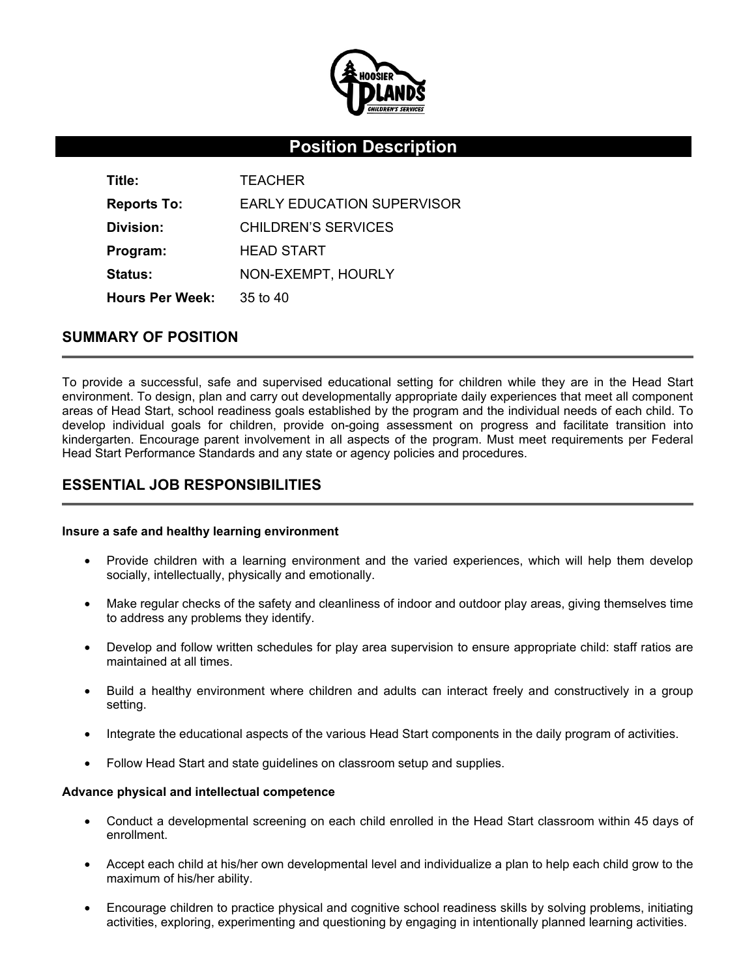

# **Position Description**

| Title:                 | <b>TEACHER</b>                    |
|------------------------|-----------------------------------|
| <b>Reports To:</b>     | <b>EARLY EDUCATION SUPERVISOR</b> |
| Division:              | CHILDREN'S SERVICES               |
| Program:               | <b>HEAD START</b>                 |
| <b>Status:</b>         | NON-EXEMPT, HOURLY                |
| <b>Hours Per Week:</b> | $35$ to $40$                      |

# **SUMMARY OF POSITION**

To provide a successful, safe and supervised educational setting for children while they are in the Head Start environment. To design, plan and carry out developmentally appropriate daily experiences that meet all component areas of Head Start, school readiness goals established by the program and the individual needs of each child. To develop individual goals for children, provide on-going assessment on progress and facilitate transition into kindergarten. Encourage parent involvement in all aspects of the program. Must meet requirements per Federal Head Start Performance Standards and any state or agency policies and procedures.

# **ESSENTIAL JOB RESPONSIBILITIES**

### **Insure a safe and healthy learning environment**

- Provide children with a learning environment and the varied experiences, which will help them develop socially, intellectually, physically and emotionally.
- Make regular checks of the safety and cleanliness of indoor and outdoor play areas, giving themselves time to address any problems they identify.
- Develop and follow written schedules for play area supervision to ensure appropriate child: staff ratios are maintained at all times.
- Build a healthy environment where children and adults can interact freely and constructively in a group setting.
- Integrate the educational aspects of the various Head Start components in the daily program of activities.
- Follow Head Start and state guidelines on classroom setup and supplies.

### **Advance physical and intellectual competence**

- Conduct a developmental screening on each child enrolled in the Head Start classroom within 45 days of enrollment.
- Accept each child at his/her own developmental level and individualize a plan to help each child grow to the maximum of his/her ability.
- Encourage children to practice physical and cognitive school readiness skills by solving problems, initiating activities, exploring, experimenting and questioning by engaging in intentionally planned learning activities.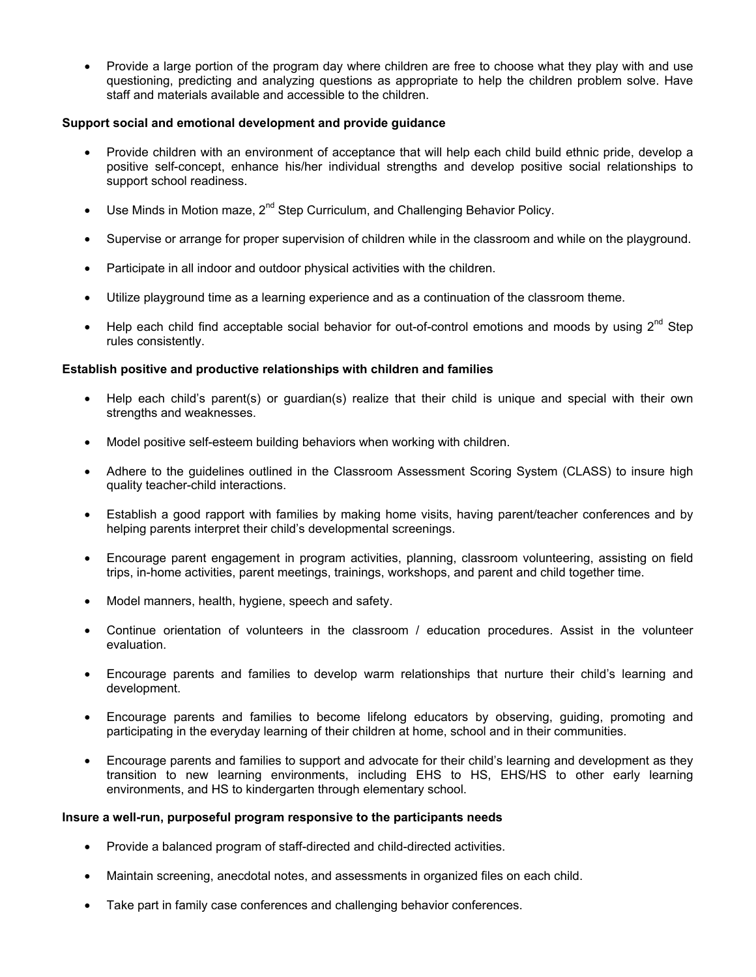• Provide a large portion of the program day where children are free to choose what they play with and use questioning, predicting and analyzing questions as appropriate to help the children problem solve. Have staff and materials available and accessible to the children.

## **Support social and emotional development and provide guidance**

- Provide children with an environment of acceptance that will help each child build ethnic pride, develop a positive self-concept, enhance his/her individual strengths and develop positive social relationships to support school readiness.
- Use Minds in Motion maze,  $2^{nd}$  Step Curriculum, and Challenging Behavior Policy.
- Supervise or arrange for proper supervision of children while in the classroom and while on the playground.
- Participate in all indoor and outdoor physical activities with the children.
- Utilize playground time as a learning experience and as a continuation of the classroom theme.
- Help each child find acceptable social behavior for out-of-control emotions and moods by using  $2^{nd}$  Step rules consistently.

## **Establish positive and productive relationships with children and families**

- Help each child's parent(s) or guardian(s) realize that their child is unique and special with their own strengths and weaknesses.
- Model positive self-esteem building behaviors when working with children.
- Adhere to the guidelines outlined in the Classroom Assessment Scoring System (CLASS) to insure high quality teacher-child interactions.
- Establish a good rapport with families by making home visits, having parent/teacher conferences and by helping parents interpret their child's developmental screenings.
- Encourage parent engagement in program activities, planning, classroom volunteering, assisting on field trips, in-home activities, parent meetings, trainings, workshops, and parent and child together time.
- Model manners, health, hygiene, speech and safety.
- Continue orientation of volunteers in the classroom / education procedures. Assist in the volunteer evaluation.
- Encourage parents and families to develop warm relationships that nurture their child's learning and development.
- Encourage parents and families to become lifelong educators by observing, guiding, promoting and participating in the everyday learning of their children at home, school and in their communities.
- Encourage parents and families to support and advocate for their child's learning and development as they transition to new learning environments, including EHS to HS, EHS/HS to other early learning environments, and HS to kindergarten through elementary school.

### **Insure a well-run, purposeful program responsive to the participants needs**

- Provide a balanced program of staff-directed and child-directed activities.
- Maintain screening, anecdotal notes, and assessments in organized files on each child.
- Take part in family case conferences and challenging behavior conferences.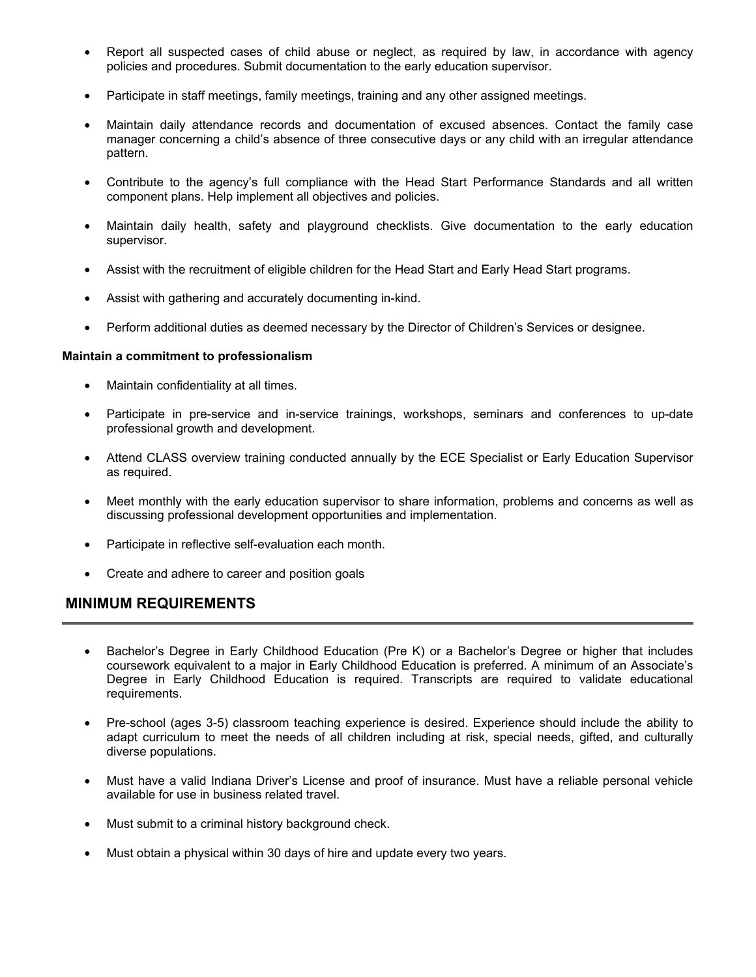- Report all suspected cases of child abuse or neglect, as required by law, in accordance with agency policies and procedures. Submit documentation to the early education supervisor.
- Participate in staff meetings, family meetings, training and any other assigned meetings.
- Maintain daily attendance records and documentation of excused absences. Contact the family case manager concerning a child's absence of three consecutive days or any child with an irregular attendance pattern.
- Contribute to the agency's full compliance with the Head Start Performance Standards and all written component plans. Help implement all objectives and policies.
- Maintain daily health, safety and playground checklists. Give documentation to the early education supervisor.
- Assist with the recruitment of eligible children for the Head Start and Early Head Start programs.
- Assist with gathering and accurately documenting in-kind.
- Perform additional duties as deemed necessary by the Director of Children's Services or designee.

### **Maintain a commitment to professionalism**

- Maintain confidentiality at all times.
- Participate in pre-service and in-service trainings, workshops, seminars and conferences to up-date professional growth and development.
- Attend CLASS overview training conducted annually by the ECE Specialist or Early Education Supervisor as required.
- Meet monthly with the early education supervisor to share information, problems and concerns as well as discussing professional development opportunities and implementation.
- Participate in reflective self-evaluation each month.
- Create and adhere to career and position goals

# **MINIMUM REQUIREMENTS**

- Bachelor's Degree in Early Childhood Education (Pre K) or a Bachelor's Degree or higher that includes coursework equivalent to a major in Early Childhood Education is preferred. A minimum of an Associate's Degree in Early Childhood Education is required. Transcripts are required to validate educational requirements.
- Pre-school (ages 3-5) classroom teaching experience is desired. Experience should include the ability to adapt curriculum to meet the needs of all children including at risk, special needs, gifted, and culturally diverse populations.
- Must have a valid Indiana Driver's License and proof of insurance. Must have a reliable personal vehicle available for use in business related travel.
- Must submit to a criminal history background check.
- Must obtain a physical within 30 days of hire and update every two years.